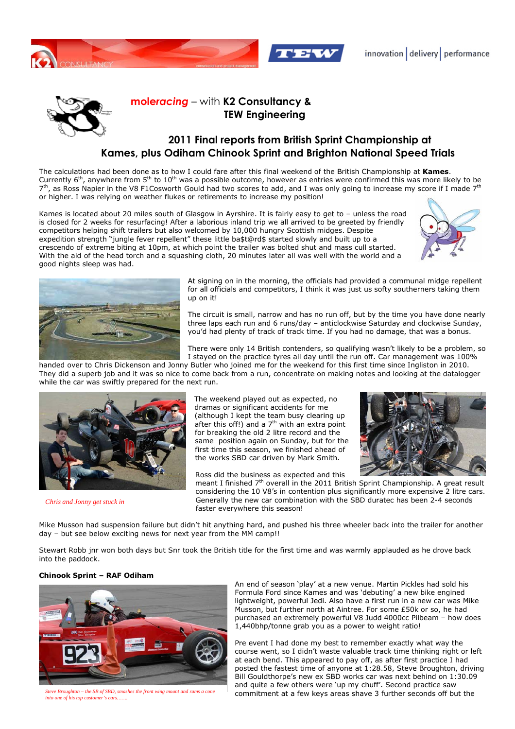



## **mole***racing* – with **K2 Consultancy & TEW Engineering**

## **2011 Final reports from British Sprint Championship at Kames, plus Odiham Chinook Sprint and Brighton National Speed Trials**

The calculations had been done as to how I could fare after this final weekend of the British Championship at **Kames**. Currently 6<sup>th</sup>, anywhere from 5<sup>th</sup> to 10<sup>th</sup> was a possible outcome, however as entries were confirmed this was more likely to be 7<sup>th</sup>, as Ross Napier in the V8 F1Cosworth Gould had two scores to add, and I was only going to increase my score if I made 7<sup>th</sup> or higher. I was relying on weather flukes or retirements to increase my position!

Kames is located about 20 miles south of Glasgow in Ayrshire. It is fairly easy to get to – unless the road is closed for 2 weeks for resurfacing! After a laborious inland trip we all arrived to be greeted by friendly competitors helping shift trailers but also welcomed by 10,000 hungry Scottish midges. Despite expedition strength "jungle fever repellent" these little ba\$t@rd\$ started slowly and built up to a crescendo of extreme biting at 10pm, at which point the trailer was bolted shut and mass cull started. With the aid of the head torch and a squashing cloth, 20 minutes later all was well with the world and a good nights sleep was had.





At signing on in the morning, the officials had provided a communal midge repellent for all officials and competitors, I think it was just us softy southerners taking them up on it!

The circuit is small, narrow and has no run off, but by the time you have done nearly three laps each run and 6 runs/day – anticlockwise Saturday and clockwise Sunday, you'd had plenty of track of track time. If you had no damage, that was a bonus.

There were only 14 British contenders, so qualifying wasn't likely to be a problem, so I stayed on the practice tyres all day until the run off. Car management was 100%

handed over to Chris Dickenson and Jonny Butler who joined me for the weekend for this first time since Ingliston in 2010. They did a superb job and it was so nice to come back from a run, concentrate on making notes and looking at the datalogger while the car was swiftly prepared for the next run.



*Chris and Jonny get stuck in* 

The weekend played out as expected, no dramas or significant accidents for me (although I kept the team busy clearing up after this off!) and a  $7<sup>th</sup>$  with an extra point for breaking the old 2 litre record and the same position again on Sunday, but for the first time this season, we finished ahead of the works SBD car driven by Mark Smith.

Ross did the business as expected and this



meant I finished  $7<sup>th</sup>$  overall in the 2011 British Sprint Championship. A great result considering the 10 V8's in contention plus significantly more expensive 2 litre cars. Generally the new car combination with the SBD duratec has been 2-4 seconds faster everywhere this season!

Mike Musson had suspension failure but didn't hit anything hard, and pushed his three wheeler back into the trailer for another day – but see below exciting news for next year from the MM camp!!

Stewart Robb jnr won both days but Snr took the British title for the first time and was warmly applauded as he drove back into the paddock.

## **Chinook Sprint – RAF Odiham**



*Steve Broughton – the SB of SBD, smashes the front wing mount and rams a cone into one of his top customer's cars…….* 

An end of season 'play' at a new venue. Martin Pickles had sold his Formula Ford since Kames and was 'debuting' a new bike engined lightweight, powerful Jedi. Also have a first run in a new car was Mike Musson, but further north at Aintree. For some £50k or so, he had purchased an extremely powerful V8 Judd 4000cc Pilbeam – how does 1,440bhp/tonne grab you as a power to weight ratio!

Pre event I had done my best to remember exactly what way the course went, so I didn't waste valuable track time thinking right or left at each bend. This appeared to pay off, as after first practice I had posted the fastest time of anyone at 1:28.58, Steve Broughton, driving Bill Gouldthorpe's new ex SBD works car was next behind on 1:30.09 and quite a few others were 'up my chuff'. Second practice saw commitment at a few keys areas shave 3 further seconds off but the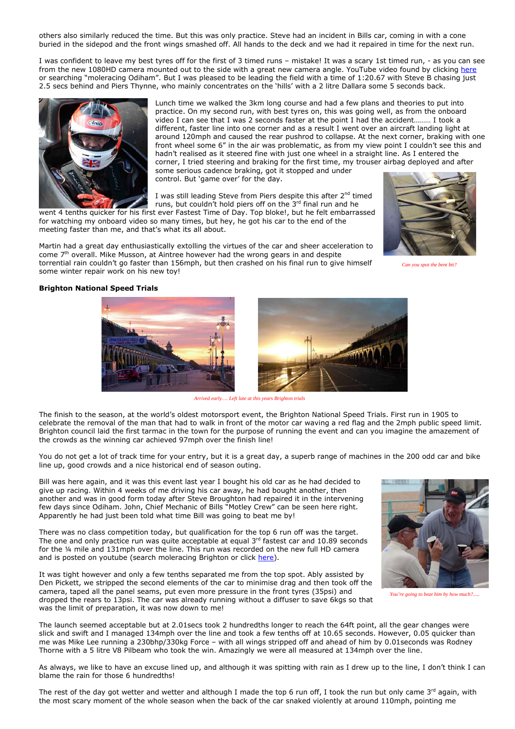others also similarly reduced the time. But this was only practice. Steve had an incident in Bills car, coming in with a cone buried in the sidepod and the front wings smashed off. All hands to the deck and we had it repaired in time for the next run.

I was confident to leave my best tyres off for the first of 3 timed runs – mistake! It was a scary 1st timed run, - as you can see from the new 1080HD camera mounted out to the side with a great new camera angle. YouTube video found by clicking here or searching "moleracing Odiham". But I was pleased to be leading the field with a time of 1:20.67 with Steve B chasing just 2.5 secs behind and Piers Thynne, who mainly concentrates on the 'hills' with a 2 litre Dallara some 5 seconds back.



Lunch time we walked the 3km long course and had a few plans and theories to put into practice. On my second run, with best tyres on, this was going well, as from the onboard video I can see that I was 2 seconds faster at the point I had the accident……… I took a different, faster line into one corner and as a result I went over an aircraft landing light at around 120mph and caused the rear pushrod to collapse. At the next corner, braking with one front wheel some 6" in the air was problematic, as from my view point I couldn't see this and hadn't realised as it steered fine with just one wheel in a straight line. As I entered the corner, I tried steering and braking for the first time, my trouser airbag deployed and after some serious cadence braking, got it stopped and under

control. But 'game over' for the day.

I was still leading Steve from Piers despite this after 2<sup>nd</sup> timed runs, but couldn't hold piers off on the 3rd final run and he

went 4 tenths quicker for his first ever Fastest Time of Day. Top bloke!, but he felt embarrassed for watching my onboard video so many times, but hey, he got his car to the end of the meeting faster than me, and that's what its all about.

Martin had a great day enthusiastically extolling the virtues of the car and sheer acceleration to come  $7<sup>th</sup>$  overall. Mike Musson, at Aintree however had the wrong gears in and despite torrential rain couldn't go faster than 156mph, but then crashed on his final run to give himself some winter repair work on his new toy!



*Can you spot the bent bit?*

## **Brighton National Speed Trials**





*Arrived early…. Left late at this years Brighton trials* 

The finish to the season, at the world's oldest motorsport event, the Brighton National Speed Trials. First run in 1905 to celebrate the removal of the man that had to walk in front of the motor car waving a red flag and the 2mph public speed limit. Brighton council laid the first tarmac in the town for the purpose of running the event and can you imagine the amazement of the crowds as the winning car achieved 97mph over the finish line!

You do not get a lot of track time for your entry, but it is a great day, a superb range of machines in the 200 odd car and bike line up, good crowds and a nice historical end of season outing.

Bill was here again, and it was this event last year I bought his old car as he had decided to give up racing. Within 4 weeks of me driving his car away, he had bought another, then another and was in good form today after Steve Broughton had repaired it in the intervening few days since Odiham. John, Chief Mechanic of Bills "Motley Crew" can be seen here right. Apparently he had just been told what time Bill was going to beat me by!

There was no class competition today, but qualification for the top 6 run off was the target. The one and only practice run was quite acceptable at equal  $3<sup>rd</sup>$  fastest car and 10.89 seconds for the ¼ mile and 131mph over the line. This run was recorded on the new full HD camera and is posted on youtube (search moleracing Brighton or click here).

It was tight however and only a few tenths separated me from the top spot. Ably assisted by Den Pickett, we stripped the second elements of the car to minimise drag and then took off the camera, taped all the panel seams, put even more pressure in the front tyres (35psi) and dropped the rears to 13psi. The car was already running without a diffuser to save 6kgs so that was the limit of preparation, it was now down to me!



*You're going to beat him by how much?.....* 

The launch seemed acceptable but at 2.01secs took 2 hundredths longer to reach the 64ft point, all the gear changes were slick and swift and I managed 134mph over the line and took a few tenths off at 10.65 seconds. However, 0.05 quicker than me was Mike Lee running a 230bhp/330kg Force – with all wings stripped off and ahead of him by 0.01seconds was Rodney Thorne with a 5 litre V8 Pilbeam who took the win. Amazingly we were all measured at 134mph over the line.

As always, we like to have an excuse lined up, and although it was spitting with rain as I drew up to the line, I don't think I can blame the rain for those 6 hundredths!

The rest of the day got wetter and wetter and although I made the top 6 run off, I took the run but only came  $3^{rd}$  again, with the most scary moment of the whole season when the back of the car snaked violently at around 110mph, pointing me